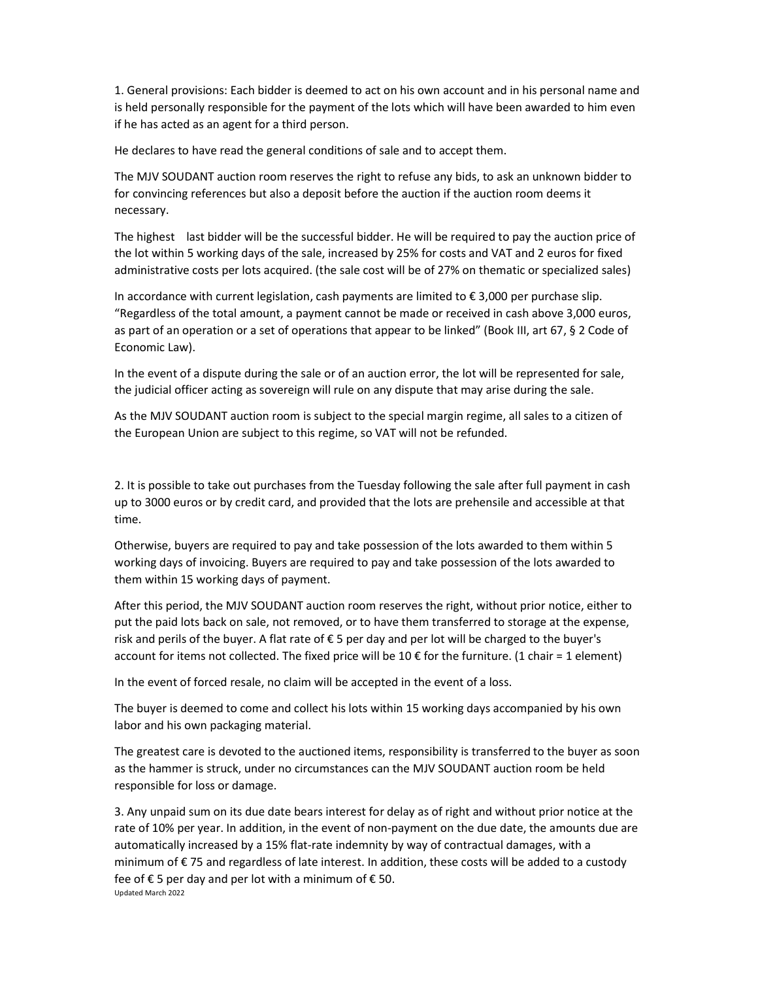1. General provisions: Each bidder is deemed to act on his own account and in his personal name and is held personally responsible for the payment of the lots which will have been awarded to him even if he has acted as an agent for a third person.

He declares to have read the general conditions of sale and to accept them.

The MJV SOUDANT auction room reserves the right to refuse any bids, to ask an unknown bidder to for convincing references but also a deposit before the auction if the auction room deems it necessary.

The highest last bidder will be the successful bidder. He will be required to pay the auction price of the lot within 5 working days of the sale, increased by 25% for costs and VAT and 2 euros for fixed administrative costs per lots acquired. (the sale cost will be of 27% on thematic or specialized sales)

In accordance with current legislation, cash payments are limited to € 3,000 per purchase slip. "Regardless of the total amount, a payment cannot be made or received in cash above 3,000 euros, as part of an operation or a set of operations that appear to be linked" (Book III, art 67, § 2 Code of Economic Law).

In the event of a dispute during the sale or of an auction error, the lot will be represented for sale, the judicial officer acting as sovereign will rule on any dispute that may arise during the sale.

As the MJV SOUDANT auction room is subject to the special margin regime, all sales to a citizen of the European Union are subject to this regime, so VAT will not be refunded.

2. It is possible to take out purchases from the Tuesday following the sale after full payment in cash up to 3000 euros or by credit card, and provided that the lots are prehensile and accessible at that time.

Otherwise, buyers are required to pay and take possession of the lots awarded to them within 5 working days of invoicing. Buyers are required to pay and take possession of the lots awarded to them within 15 working days of payment.

After this period, the MJV SOUDANT auction room reserves the right, without prior notice, either to put the paid lots back on sale, not removed, or to have them transferred to storage at the expense, risk and perils of the buyer. A flat rate of € 5 per day and per lot will be charged to the buyer's account for items not collected. The fixed price will be 10 € for the furniture. (1 chair = 1 element)

In the event of forced resale, no claim will be accepted in the event of a loss.

The buyer is deemed to come and collect his lots within 15 working days accompanied by his own labor and his own packaging material.

The greatest care is devoted to the auctioned items, responsibility is transferred to the buyer as soon as the hammer is struck, under no circumstances can the MJV SOUDANT auction room be held responsible for loss or damage.

Updated March 2022 3. Any unpaid sum on its due date bears interest for delay as of right and without prior notice at the rate of 10% per year. In addition, in the event of non-payment on the due date, the amounts due are automatically increased by a 15% flat-rate indemnity by way of contractual damages, with a minimum of € 75 and regardless of late interest. In addition, these costs will be added to a custody fee of  $€$  5 per day and per lot with a minimum of  $€$  50.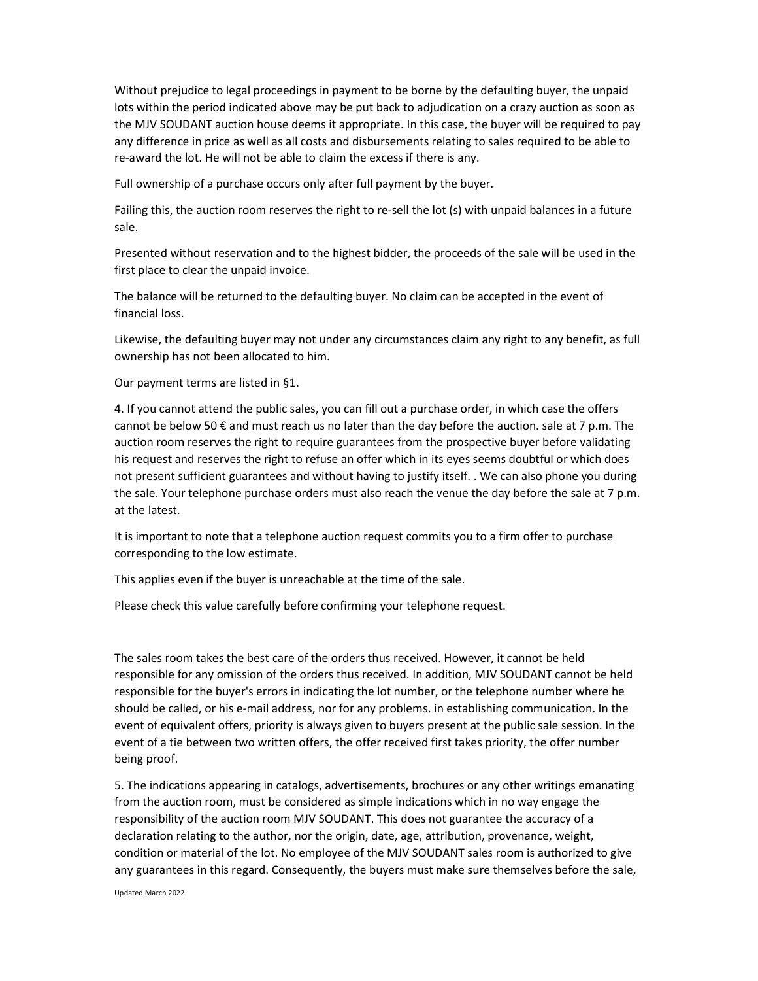Without prejudice to legal proceedings in payment to be borne by the defaulting buyer, the unpaid lots within the period indicated above may be put back to adjudication on a crazy auction as soon as the MJV SOUDANT auction house deems it appropriate. In this case, the buyer will be required to pay any difference in price as well as all costs and disbursements relating to sales required to be able to re-award the lot. He will not be able to claim the excess if there is any.

Full ownership of a purchase occurs only after full payment by the buyer.

Failing this, the auction room reserves the right to re-sell the lot (s) with unpaid balances in a future sale.

Presented without reservation and to the highest bidder, the proceeds of the sale will be used in the first place to clear the unpaid invoice.

The balance will be returned to the defaulting buyer. No claim can be accepted in the event of financial loss.

Likewise, the defaulting buyer may not under any circumstances claim any right to any benefit, as full ownership has not been allocated to him.

Our payment terms are listed in §1.

4. If you cannot attend the public sales, you can fill out a purchase order, in which case the offers cannot be below 50  $\epsilon$  and must reach us no later than the day before the auction. sale at 7 p.m. The auction room reserves the right to require guarantees from the prospective buyer before validating his request and reserves the right to refuse an offer which in its eyes seems doubtful or which does not present sufficient guarantees and without having to justify itself. . We can also phone you during the sale. Your telephone purchase orders must also reach the venue the day before the sale at 7 p.m. at the latest.

It is important to note that a telephone auction request commits you to a firm offer to purchase corresponding to the low estimate.

This applies even if the buyer is unreachable at the time of the sale.

Please check this value carefully before confirming your telephone request.

The sales room takes the best care of the orders thus received. However, it cannot be held responsible for any omission of the orders thus received. In addition, MJV SOUDANT cannot be held responsible for the buyer's errors in indicating the lot number, or the telephone number where he should be called, or his e-mail address, nor for any problems. in establishing communication. In the event of equivalent offers, priority is always given to buyers present at the public sale session. In the event of a tie between two written offers, the offer received first takes priority, the offer number being proof.

5. The indications appearing in catalogs, advertisements, brochures or any other writings emanating from the auction room, must be considered as simple indications which in no way engage the responsibility of the auction room MJV SOUDANT. This does not guarantee the accuracy of a declaration relating to the author, nor the origin, date, age, attribution, provenance, weight, condition or material of the lot. No employee of the MJV SOUDANT sales room is authorized to give any guarantees in this regard. Consequently, the buyers must make sure themselves before the sale,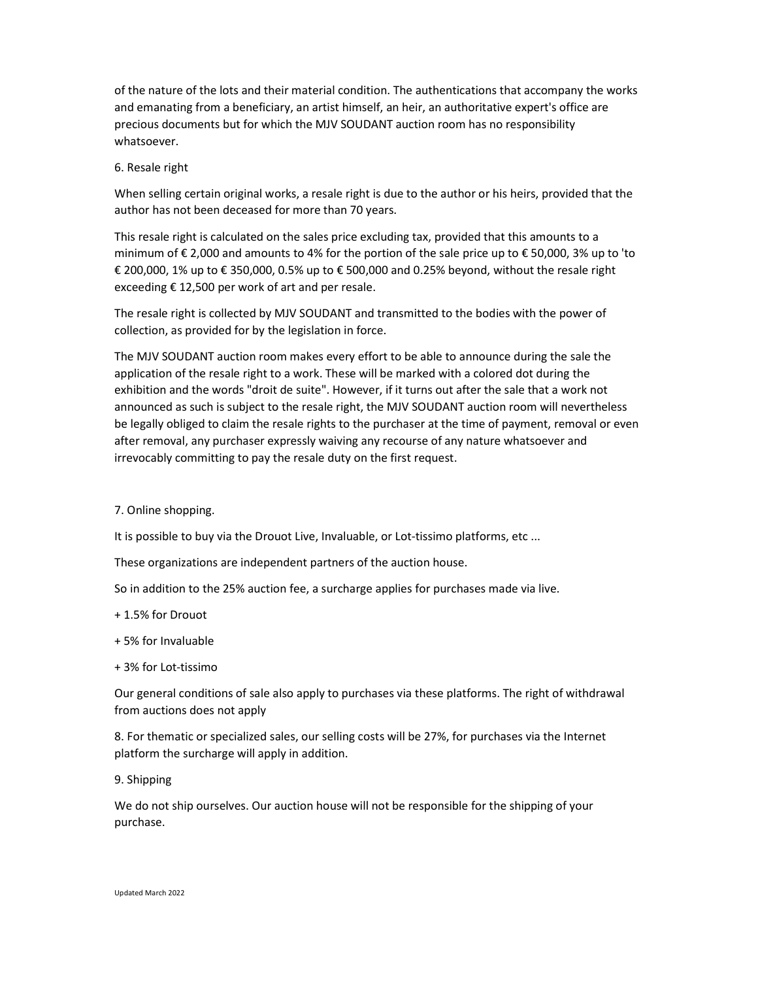of the nature of the lots and their material condition. The authentications that accompany the works and emanating from a beneficiary, an artist himself, an heir, an authoritative expert's office are precious documents but for which the MJV SOUDANT auction room has no responsibility whatsoever.

## 6. Resale right

When selling certain original works, a resale right is due to the author or his heirs, provided that the author has not been deceased for more than 70 years.

This resale right is calculated on the sales price excluding tax, provided that this amounts to a minimum of € 2,000 and amounts to 4% for the portion of the sale price up to € 50,000, 3% up to 'to € 200,000, 1% up to € 350,000, 0.5% up to € 500,000 and 0.25% beyond, without the resale right exceeding  $\epsilon$  12,500 per work of art and per resale.

The resale right is collected by MJV SOUDANT and transmitted to the bodies with the power of collection, as provided for by the legislation in force.

The MJV SOUDANT auction room makes every effort to be able to announce during the sale the application of the resale right to a work. These will be marked with a colored dot during the exhibition and the words "droit de suite". However, if it turns out after the sale that a work not announced as such is subject to the resale right, the MJV SOUDANT auction room will nevertheless be legally obliged to claim the resale rights to the purchaser at the time of payment, removal or even after removal, any purchaser expressly waiving any recourse of any nature whatsoever and irrevocably committing to pay the resale duty on the first request.

## 7. Online shopping.

It is possible to buy via the Drouot Live, Invaluable, or Lot-tissimo platforms, etc ...

These organizations are independent partners of the auction house.

So in addition to the 25% auction fee, a surcharge applies for purchases made via live.

- + 1.5% for Drouot
- + 5% for Invaluable
- + 3% for Lot-tissimo

Our general conditions of sale also apply to purchases via these platforms. The right of withdrawal from auctions does not apply

8. For thematic or specialized sales, our selling costs will be 27%, for purchases via the Internet platform the surcharge will apply in addition.

9. Shipping

We do not ship ourselves. Our auction house will not be responsible for the shipping of your purchase.